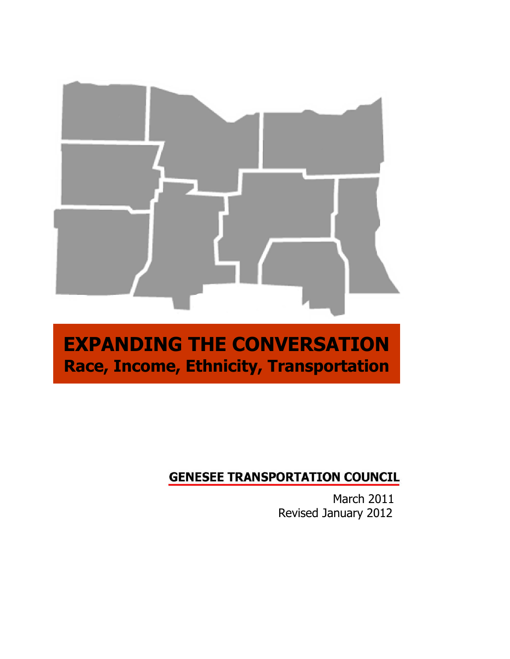

# **EXPANDING THE CONVERSATION Race, Income, Ethnicity, Transportation**

# **GENESEE TRANSPORTATION COUNCIL**

March 2011 Revised January 2012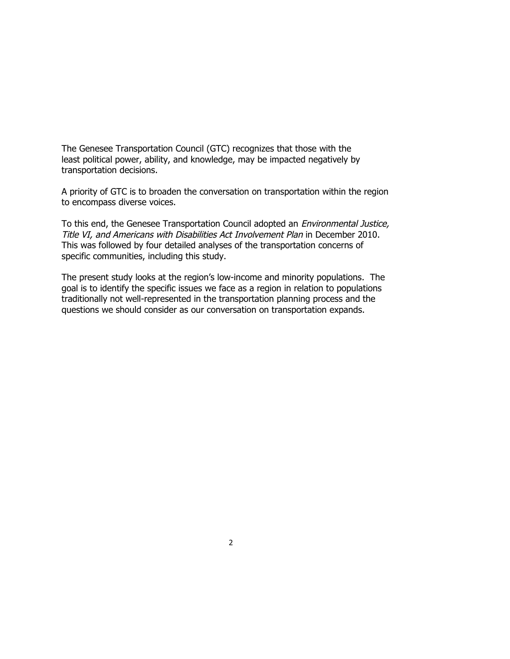The Genesee Transportation Council (GTC) recognizes that those with the least political power, ability, and knowledge, may be impacted negatively by transportation decisions.

A priority of GTC is to broaden the conversation on transportation within the region to encompass diverse voices.

To this end, the Genesee Transportation Council adopted an Environmental Justice, Title VI, and Americans with Disabilities Act Involvement Plan in December 2010. This was followed by four detailed analyses of the transportation concerns of specific communities, including this study.

The present study looks at the region's low-income and minority populations. The goal is to identify the specific issues we face as a region in relation to populations traditionally not well-represented in the transportation planning process and the questions we should consider as our conversation on transportation expands.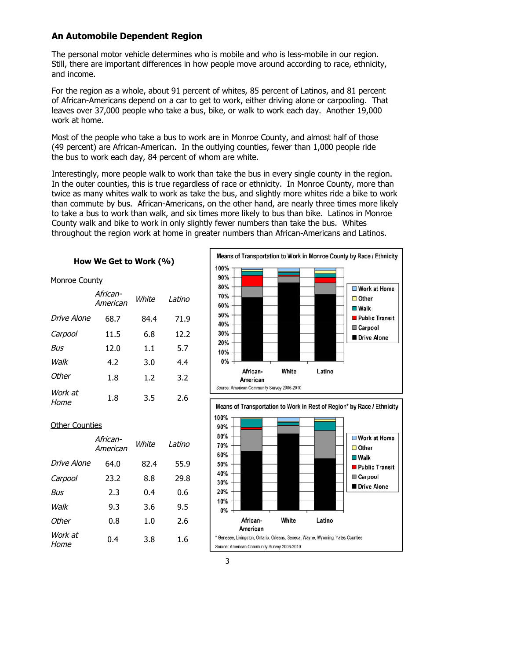# **An Automobile Dependent Region**

The personal motor vehicle determines who is mobile and who is less-mobile in our region. Still, there are important differences in how people move around according to race, ethnicity, and income.

For the region as a whole, about 91 percent of whites, 85 percent of Latinos, and 81 percent of African-Americans depend on a car to get to work, either driving alone or carpooling. That leaves over 37,000 people who take a bus, bike, or walk to work each day. Another 19,000 work at home.

Most of the people who take a bus to work are in Monroe County, and almost half of those (49 percent) are African-American. In the outlying counties, fewer than 1,000 people ride the bus to work each day, 84 percent of whom are white.

Interestingly, more people walk to work than take the bus in every single county in the region. In the outer counties, this is true regardless of race or ethnicity. In Monroe County, more than twice as many whites walk to work as take the bus, and slightly more whites ride a bike to work than commute by bus. African-Americans, on the other hand, are nearly three times more likely to take a bus to work than walk, and six times more likely to bus than bike. Latinos in Monroe County walk and bike to work in only slightly fewer numbers than take the bus. Whites throughout the region work at home in greater numbers than African-Americans and Latinos.

### **How We Get to Work (%)**

#### Monroe County

|                 | African-<br>American | White | I atino |
|-----------------|----------------------|-------|---------|
| Drive Alone     | 68.7                 | 84.4  | 71.9    |
| Carpool         | 11.5                 | 6.8   | 12.2    |
| Bus             | 12.0                 | 1.1   | 5.7     |
| Walk            | 4.2                  | 3.0   | 4.4     |
| Other           | 1.8                  | 1.2   | 3.2     |
| Work at<br>Home | 1.8                  | 3.5   | 2.6     |





#### **Other Counties**

|                 | African-<br>American | White | Latino |
|-----------------|----------------------|-------|--------|
| Drive Alone     | 64.0                 | 82.4  | 55.9   |
| Carpool         | 23.2                 | 8.8   | 29.8   |
| Bus             | 2.3                  | 0.4   | 0.6    |
| Walk            | 9.3                  | 3.6   | 9.5    |
| Other           | 0.8                  | 1.0   | 2.6    |
| Work at<br>Home | 0.4                  | 3.8   | 1.6    |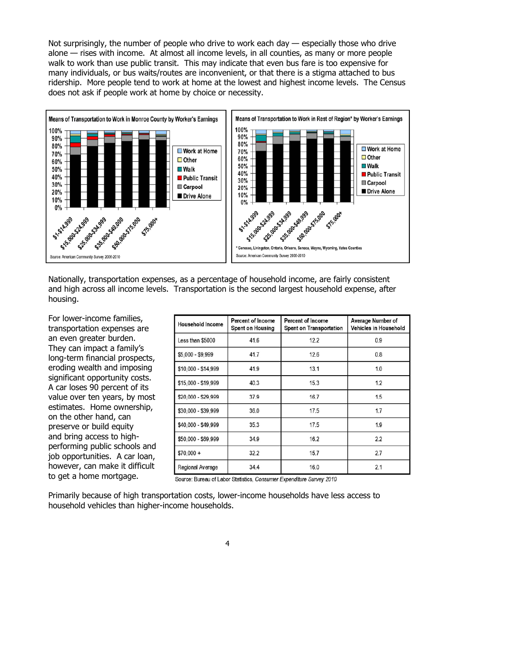Not surprisingly, the number of people who drive to work each day — especially those who drive alone — rises with income. At almost all income levels, in all counties, as many or more people walk to work than use public transit. This may indicate that even bus fare is too expensive for many individuals, or bus waits/routes are inconvenient, or that there is a stigma attached to bus ridership. More people tend to work at home at the lowest and highest income levels. The Census does not ask if people work at home by choice or necessity.



Nationally, transportation expenses, as a percentage of household income, are fairly consistent and high across all income levels. Transportation is the second largest household expense, after housing.

For lower-income families, transportation expenses are an even greater burden. They can impact a family's long-term financial prospects, eroding wealth and imposing significant opportunity costs. A car loses 90 percent of its value over ten years, by most estimates. Home ownership, on the other hand, can preserve or build equity and bring access to highperforming public schools and job opportunities. A car loan, however, can make it difficult to get a home mortgage.

| <b>Household Income</b> | <b>Percent of Income</b><br><b>Spent on Housing</b> | <b>Percent of Income</b><br><b>Spent on Transportation</b> | Average Number of<br>Vehicles in Household |
|-------------------------|-----------------------------------------------------|------------------------------------------------------------|--------------------------------------------|
| Less than \$5000        | 41.6                                                | 12.2                                                       | 0.9                                        |
| \$5,000 - \$9,999       | 41.7                                                | 12.6                                                       | 0.8                                        |
| \$10,000 - \$14,999     | 41.9                                                | 13.1                                                       | 1.0                                        |
| \$15,000 - \$19,999     | 40.3                                                | 15.3                                                       | 1.2                                        |
| \$20,000 - \$29,999     | 37.9                                                | 16.7                                                       | 1.5                                        |
| \$30,000 - \$39,999     | 36.0                                                | 17.5                                                       | 1.7                                        |
| \$40,000 - \$49,999     | 35.3                                                | 17.5                                                       | 1.9                                        |
| \$50,000 - \$69,999     | 34.9                                                | 16.2                                                       | 2.2                                        |
| $$70.000 +$             | 32.2                                                | 15.7                                                       | 2.7                                        |
| Regional Average        | 34.4                                                | 16.0                                                       | 2.1                                        |

Source: Bureau of Labor Statistics, Consumer Expenditure Survey 2010

Primarily because of high transportation costs, lower-income households have less access to household vehicles than higher-income households.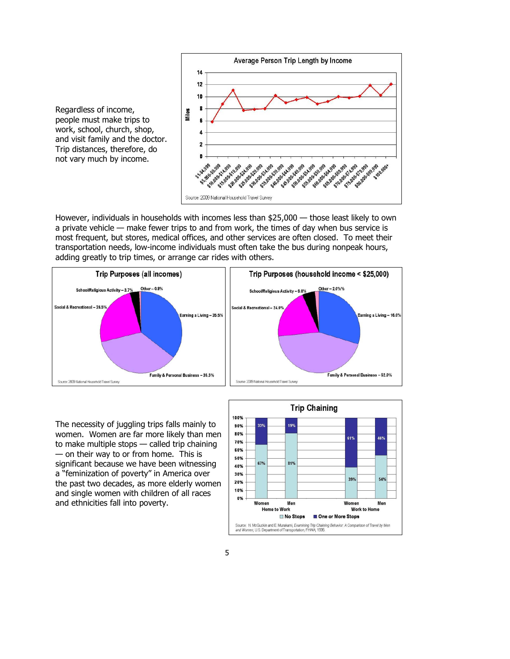

However, individuals in households with incomes less than \$25,000 — those least likely to own a private vehicle — make fewer trips to and from work, the times of day when bus service is most frequent, but stores, medical offices, and other services are often closed. To meet their transportation needs, low-income individuals must often take the bus during nonpeak hours, adding greatly to trip times, or arrange car rides with others.



The necessity of juggling trips falls mainly to women. Women are far more likely than men to make multiple stops — called trip chaining — on their way to or from home. This is significant because we have been witnessing a "feminization of poverty" in America over the past two decades, as more elderly women and single women with children of all races and ethnicities fall into poverty.

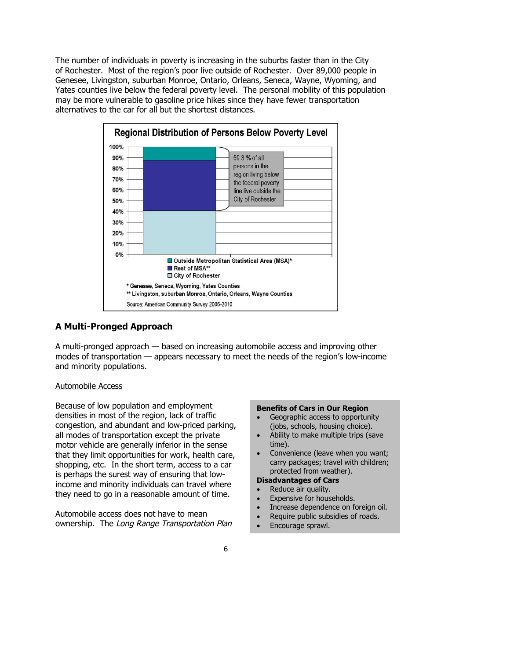The number of individuals in poverty is increasing in the suburbs faster than in the City of Rochester. Most of the region's poor live outside of Rochester. Over 89,000 people in Genesee, Livingston, suburban Monroe, Ontario, Orleans, Seneca, Wayne, Wyoming, and Yates counties live below the federal poverty level. The personal mobility of this population may be more vulnerable to gasoline price hikes since they have fewer transportation alternatives to the car for all but the shortest distances.



# **A Multi-Pronged Approach**

A multi-pronged approach — based on increasing automobile access and improving other modes of transportation — appears necessary to meet the needs of the region's low-income and minority populations.

#### Automobile Access

Because of low population and employment densities in most of the region, lack of traffic congestion, and abundant and low-priced parking, all modes of transportation except the private motor vehicle are generally inferior in the sense that they limit opportunities for work, health care, shopping, etc. In the short term, access to a car is perhaps the surest way of ensuring that lowincome and minority individuals can travel where they need to go in a reasonable amount of time.

Automobile access does not have to mean ownership. The Long Range Transportation Plan

#### **Benefits of Cars in Our Region**

- Geographic access to opportunity (jobs, schools, housing choice).
- Ability to make multiple trips (save time).
- Convenience (leave when you want; carry packages; travel with children; protected from weather).

# **Disadvantages of Cars**

- Reduce air quality.
- Expensive for households.
- Increase dependence on foreign oil.
- Require public subsidies of roads.
- Encourage sprawl.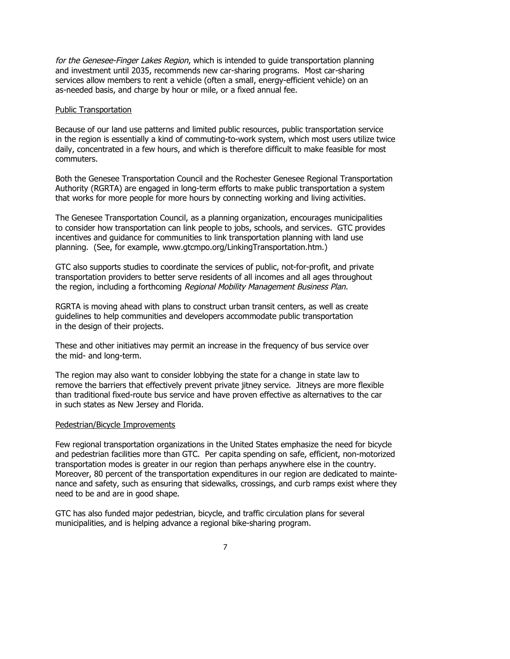for the Genesee-Finger Lakes Region, which is intended to quide transportation planning and investment until 2035, recommends new car-sharing programs. Most car-sharing services allow members to rent a vehicle (often a small, energy-efficient vehicle) on an as-needed basis, and charge by hour or mile, or a fixed annual fee.

#### Public Transportation

Because of our land use patterns and limited public resources, public transportation service in the region is essentially a kind of commuting-to-work system, which most users utilize twice daily, concentrated in a few hours, and which is therefore difficult to make feasible for most commuters.

Both the Genesee Transportation Council and the Rochester Genesee Regional Transportation Authority (RGRTA) are engaged in long-term efforts to make public transportation a system that works for more people for more hours by connecting working and living activities.

The Genesee Transportation Council, as a planning organization, encourages municipalities to consider how transportation can link people to jobs, schools, and services. GTC provides incentives and guidance for communities to link transportation planning with land use planning. (See, for example, www.gtcmpo.org/LinkingTransportation.htm.)

GTC also supports studies to coordinate the services of public, not-for-profit, and private transportation providers to better serve residents of all incomes and all ages throughout the region, including a forthcoming Regional Mobility Management Business Plan.

RGRTA is moving ahead with plans to construct urban transit centers, as well as create guidelines to help communities and developers accommodate public transportation in the design of their projects.

These and other initiatives may permit an increase in the frequency of bus service over the mid- and long-term.

The region may also want to consider lobbying the state for a change in state law to remove the barriers that effectively prevent private jitney service. Jitneys are more flexible than traditional fixed-route bus service and have proven effective as alternatives to the car in such states as New Jersey and Florida.

#### Pedestrian/Bicycle Improvements

Few regional transportation organizations in the United States emphasize the need for bicycle and pedestrian facilities more than GTC. Per capita spending on safe, efficient, non-motorized transportation modes is greater in our region than perhaps anywhere else in the country. Moreover, 80 percent of the transportation expenditures in our region are dedicated to maintenance and safety, such as ensuring that sidewalks, crossings, and curb ramps exist where they need to be and are in good shape.

GTC has also funded major pedestrian, bicycle, and traffic circulation plans for several municipalities, and is helping advance a regional bike-sharing program.